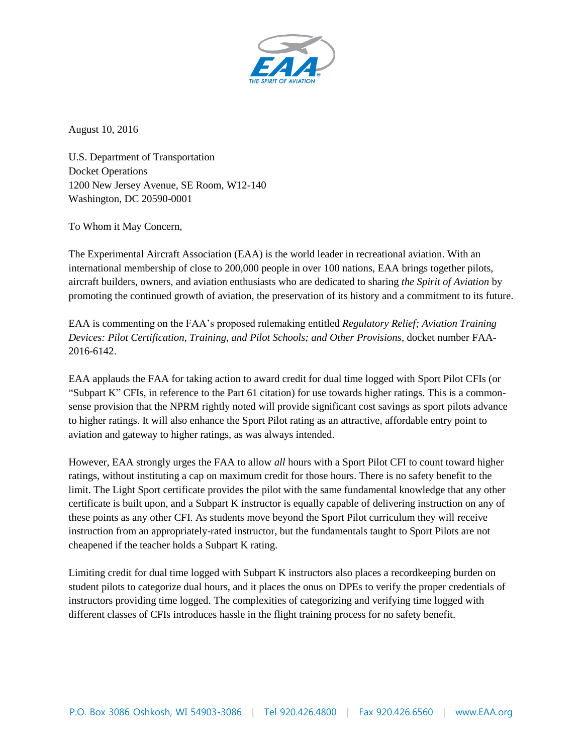

August 10, 2016

U.S. Department of Transportation Docket Operations 1200 New Jersey Avenue, SE Room, W12-140 Washington, DC 20590-0001

To Whom it May Concern,

The Experimental Aircraft Association (EAA) is the world leader in recreational aviation. With an international membership of close to 200,000 people in over 100 nations, EAA brings together pilots, aircraft builders, owners, and aviation enthusiasts who are dedicated to sharing *the Spirit of Aviation* by promoting the continued growth of aviation, the preservation of its history and a commitment to its future.

EAA is commenting on the FAA's proposed rulemaking entitled *Regulatory Relief; Aviation Training Devices: Pilot Certification, Training, and Pilot Schools; and Other Provisions*, docket number FAA-2016-6142.

EAA applauds the FAA for taking action to award credit for dual time logged with Sport Pilot CFIs (or "Subpart K" CFIs, in reference to the Part 61 citation) for use towards higher ratings. This is a commonsense provision that the NPRM rightly noted will provide significant cost savings as sport pilots advance to higher ratings. It will also enhance the Sport Pilot rating as an attractive, affordable entry point to aviation and gateway to higher ratings, as was always intended.

However, EAA strongly urges the FAA to allow *all* hours with a Sport Pilot CFI to count toward higher ratings, without instituting a cap on maximum credit for those hours. There is no safety benefit to the limit. The Light Sport certificate provides the pilot with the same fundamental knowledge that any other certificate is built upon, and a Subpart K instructor is equally capable of delivering instruction on any of these points as any other CFI. As students move beyond the Sport Pilot curriculum they will receive instruction from an appropriately-rated instructor, but the fundamentals taught to Sport Pilots are not cheapened if the teacher holds a Subpart K rating.

Limiting credit for dual time logged with Subpart K instructors also places a recordkeeping burden on student pilots to categorize dual hours, and it places the onus on DPEs to verify the proper credentials of instructors providing time logged. The complexities of categorizing and verifying time logged with different classes of CFIs introduces hassle in the flight training process for no safety benefit.